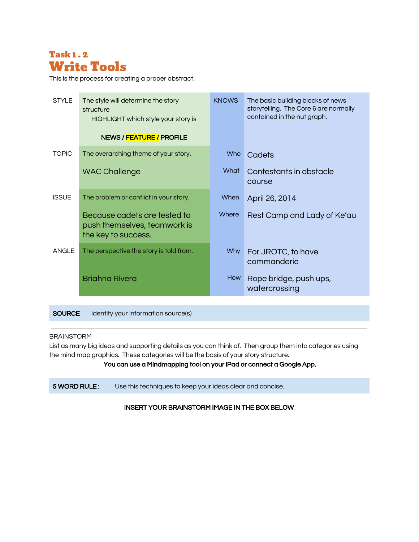

This is the process for creating a proper abstract.

| <b>STYLE</b> | The style will determine the story<br>structure<br>HIGHLIGHT which style your story is | <b>KNOWS</b>                                   | The basic building blocks of news<br>storytelling. The Core 6 are normally<br>contained in the nut graph. |  |  |
|--------------|----------------------------------------------------------------------------------------|------------------------------------------------|-----------------------------------------------------------------------------------------------------------|--|--|
|              | NEWS / FEATURE / PROFILE                                                               |                                                |                                                                                                           |  |  |
| <b>TOPIC</b> | The overarching theme of your story.                                                   | Who<br>Cadets                                  |                                                                                                           |  |  |
|              | <b>WAC Challenge</b>                                                                   | What                                           | Contestants in obstacle<br>course                                                                         |  |  |
| <b>ISSUE</b> | The problem or conflict in your story.                                                 | When                                           | April 26, 2014                                                                                            |  |  |
|              | Because cadets are tested to<br>push themselves, teamwork is<br>the key to success.    | Where                                          | Rest Camp and Lady of Ke'au                                                                               |  |  |
| <b>ANGLE</b> | The perspective the story is told from.                                                | Why                                            | For JROTC, to have<br>commanderie                                                                         |  |  |
|              | <b>Brighna Rivera</b>                                                                  | How<br>Rope bridge, push ups,<br>watercrossing |                                                                                                           |  |  |

SOURCE Identify your information source(s)

### BRAINSTORM

List as many big ideas and supporting details as you can think of. Then group them into categories using the mind map graphics. These categories will be the basis of your story structure.

# You can use a Mindmapping tool on your iPad or connect a Google App.

5 WORD RULE : Use this techniques to keep your ideas clear and concise.

INSERT YOUR BRAINSTORM IMAGE IN THE BOX BELOW.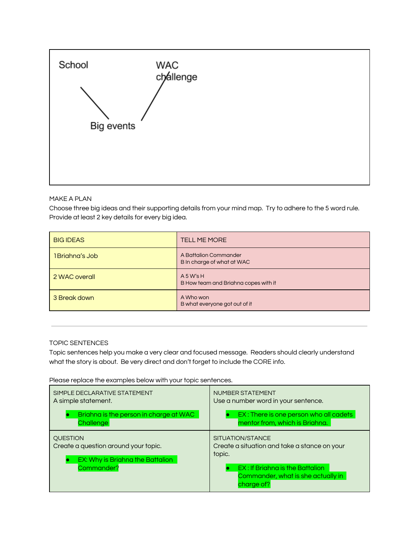

## MAKE A PLAN

Choose three big ideas and their supporting details from your mind map. Try to adhere to the 5 word rule. Provide at least 2 key details for every big idea.

| <b>BIG IDEAS</b> | <b>TELL ME MORE</b>                                 |
|------------------|-----------------------------------------------------|
| 1 Brighna's Job  | A Battalion Commander<br>B In charge of what at WAC |
| 2 WAC overall    | $A$ 5 W's H<br>B How team and Briahna copes with it |
| 3 Break down     | A Who won<br>B what everyone got out of it          |

## TOPIC SENTENCES

Topic sentences help you make a very clear and focused message. Readers should clearly understand what the story is about. Be very direct and don't forget to include the CORE info.

Please replace the examples below with your topic sentences.

| SIMPLE DECLARATIVE STATEMENT           | NUMBER STATEMENT                                                                    |
|----------------------------------------|-------------------------------------------------------------------------------------|
| A simple statement.                    | Use a number word in your sentence.                                                 |
| Briahna is the person in charge at WAC | EX: There is one person who all cadets                                              |
| <b>Challenge</b>                       | mentor from, which is Briahna.                                                      |
| <b>QUESTION</b>                        | SITUATION/STANCE                                                                    |
| Create a question around your topic.   | Create a situation and take a stance on your                                        |
| EX: Why is Briahna the Battalion       | topic.                                                                              |
| Commander?                             | EX: If Briahna is the Battalion<br>Commander, what is she actually in<br>charge of? |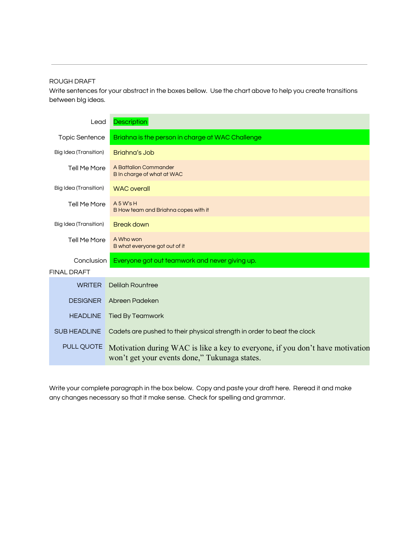## ROUGH DRAFT

Write sentences for your abstract in the boxes bellow. Use the chart above to help you create transitions between bIg ideas.

| Lead                  | <b>Description</b>                                                                                                             |
|-----------------------|--------------------------------------------------------------------------------------------------------------------------------|
| <b>Topic Sentence</b> | Briahna is the person in charge at WAC Challenge                                                                               |
| Big Idea (Transition) | Brighng's Job                                                                                                                  |
| Tell Me More          | A Battalion Commander<br>B In charge of what at WAC                                                                            |
| Big Idea (Transition) | <b>WAC</b> overall                                                                                                             |
| <b>Tell Me More</b>   | A 5 W's H<br>B How team and Briahna copes with it                                                                              |
| Big Idea (Transition) | <b>Break down</b>                                                                                                              |
| Tell Me More          | A Who won<br>B what everyone got out of it                                                                                     |
| Conclusion            | Everyone got out teamwork and never giving up.                                                                                 |
| <b>FINAL DRAFT</b>    |                                                                                                                                |
| <b>WRITER</b>         | Delilah Rountree                                                                                                               |
| <b>DESIGNER</b>       | Abreen Padeken                                                                                                                 |
| <b>HEADLINE</b>       | <b>Tied By Teamwork</b>                                                                                                        |
| <b>SUB HEADLINE</b>   | Cadets are pushed to their physical strength in order to beat the clock                                                        |
| PULL QUOTE            | Motivation during WAC is like a key to everyone, if you don't have motivation<br>won't get your events done," Tukunaga states. |

Write your complete paragraph in the box below. Copy and paste your draft here. Reread it and make any changes necessary so that it make sense. Check for spelling and grammar.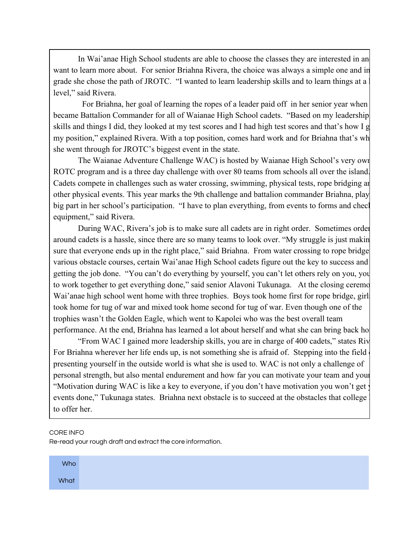In Wai'anae High School students are able to choose the classes they are interested in an want to learn more about. For senior Briahna Rivera, the choice was always a simple one and in grade she chose the path of JROTC. "I wanted to learn leadership skills and to learn things at a level," said Rivera.

For Briahna, her goal of learning the ropes of a leader paid off in her senior year when became Battalion Commander for all of Waianae High School cadets. "Based on my leadership skills and things I did, they looked at my test scores and I had high test scores and that's how I g my position," explained Rivera. With a top position, comes hard work and for Briahna that's wh she went through for JROTC's biggest event in the state.

The Waianae Adventure Challenge WAC) is hosted by Waianae High School's very own ROTC program and is a three day challenge with over 80 teams from schools all over the island. Cadets compete in challenges such as water crossing, swimming, physical tests, rope bridging and other physical events. This year marks the 9th challenge and battalion commander Briahna, plays a big part in her school's participation. "I have to plan everything, from events to forms and check equipment," said Rivera.

During WAC, Rivera's job is to make sure all cadets are in right order. Sometimes order around cadets is a hassle, since there are so many teams to look over. "My struggle is just making sure that everyone ends up in the right place," said Briahna. From water crossing to rope bridge various obstacle courses, certain Wai'anae High School cadets figure out the key to success and getting the job done. "You can't do everything by yourself, you can't let others rely on you, you have to work together to get everything done," said senior Alavoni Tukunaga. At the closing ceremo Wai'anae high school went home with three trophies. Boys took home first for rope bridge, girls took home for tug of war and mixed took home second for tug of war. Even though one of the trophies wasn't the Golden Eagle, which went to Kapolei who was the best overall team performance. At the end, Briahna has learned a lot about herself and what she can bring back home.

"From WAC I gained more leadership skills, you are in charge of 400 cadets," states Rivera. For Briahna wherever her life ends up, is not something she is afraid of. Stepping into the field presenting yourself in the outside world is what she is used to. WAC is not only a challenge of personal strength, but also mental endurement and how far you can motivate your team and your "Motivation during WAC is like a key to everyone, if you don't have motivation you won't get events done," Tukunaga states. Briahna next obstacle is to succeed at the obstacles that college to offer her.

### CORE INFO

Re-read your rough draft and extract the core information.

| <b>Who</b> |  |  |  |  |  |
|------------|--|--|--|--|--|
| What       |  |  |  |  |  |